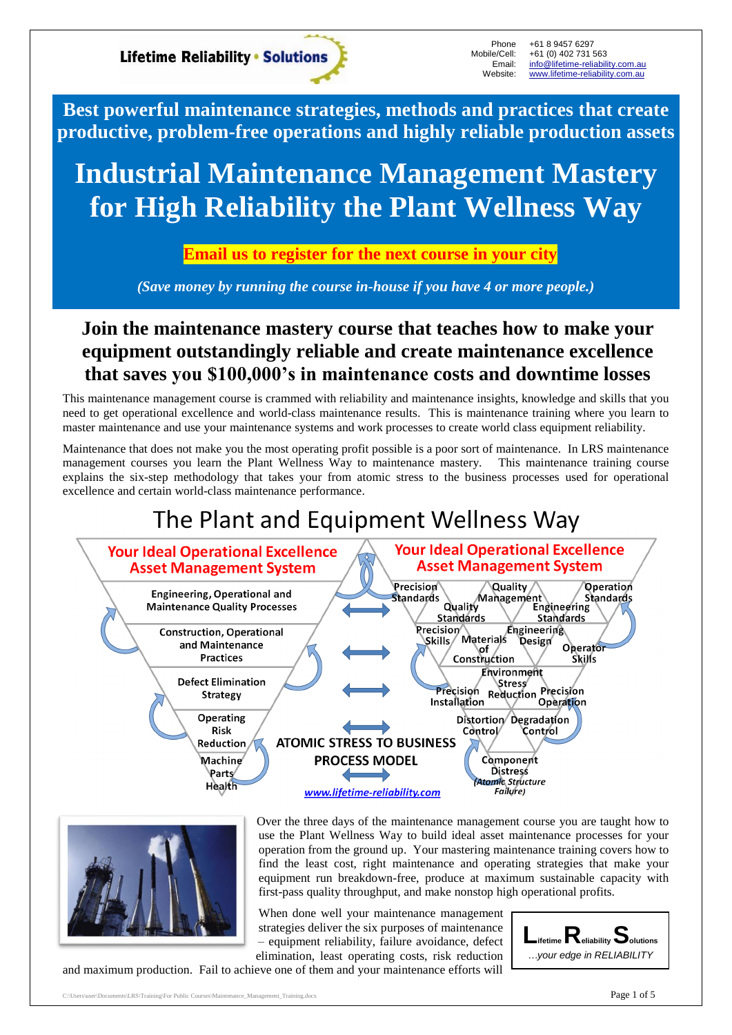**Lifetime Reliability • Solutions** 

Phone Mobile/Cell: Email: Website:

+61 8 9457 6297 +61 (0) 402 731 563 [info@lifetime-reliability.com.au](mailto:info@lifetime-reliability.com.au) [www.lifetime-reliability.com.au](http://www.lifetime-reliability.com.au/)

**Best powerful maintenance strategies, methods and practices that create productive, problem-free operations and highly reliable production assets**

# **Industrial Maintenance Management Mastery for High Reliability the Plant Wellness Way**

### **Email us to register for the next course in your city**

*(Save money by running the course in-house if you have 4 or more people.)*

## **Join the maintenance mastery course that teaches how to make your equipment outstandingly reliable and create maintenance excellence that saves you \$100,000's in maintenance costs and downtime losses**

This maintenance management course is crammed with reliability and maintenance insights, knowledge and skills that you need to get operational excellence and world-class maintenance results. This is maintenance training where you learn to master maintenance and use your maintenance systems and work processes to create world class equipment reliability.

Maintenance that does not make you the most operating profit possible is a poor sort of maintenance. In LRS maintenance management courses you learn the Plant Wellness Way to maintenance mastery. This maintenance training course explains the six-step methodology that takes your from atomic stress to the business processes used for operational excellence and certain world-class maintenance performance.

# The Plant and Equipment Wellness Way





Over the three days of the maintenance management course you are taught how to use the Plant Wellness Way to build ideal asset maintenance processes for your operation from the ground up. Your mastering maintenance training covers how to find the least cost, right maintenance and operating strategies that make your equipment run breakdown-free, produce at maximum sustainable capacity with first-pass quality throughput, and make nonstop high operational profits.

When done well your maintenance management strategies deliver the six purposes of maintenance – equipment reliability, failure avoidance, defect elimination, least operating costs, risk reduction

and maximum production. Fail to achieve one of them and your maintenance efforts will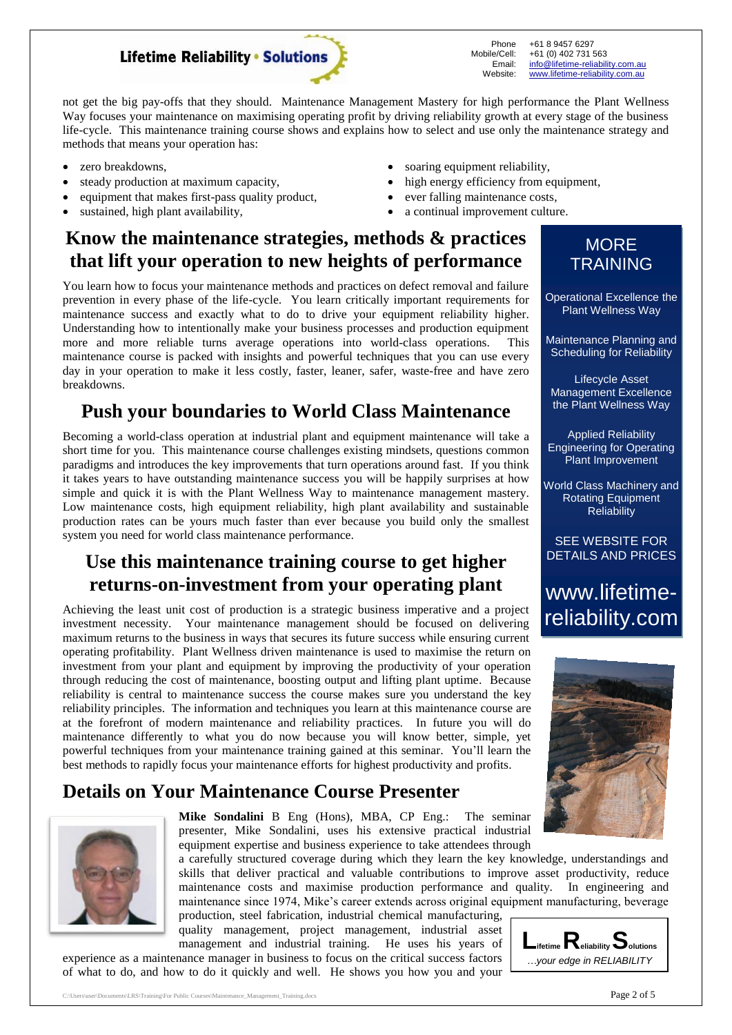

Phone Mobile/Cell: Email: Website: +61 8 9457 6297 +61 (0) 402 731 563 [info@lifetime-reliability.com.au](mailto:info@lifetime-reliability.com.au) [www.lifetime-reliability.com.au](http://www.lifetime-reliability.com.au/)

not get the big pay-offs that they should. Maintenance Management Mastery for high performance the Plant Wellness Way focuses your maintenance on maximising operating profit by driving reliability growth at every stage of the business life-cycle. This maintenance training course shows and explains how to select and use only the maintenance strategy and methods that means your operation has:

- zero breakdowns,
- steady production at maximum capacity,
- equipment that makes first-pass quality product,
- sustained, high plant availability,
- soaring equipment reliability,
- high energy efficiency from equipment,
- ever falling maintenance costs,
- a continual improvement culture.

## **Know the maintenance strategies, methods & practices that lift your operation to new heights of performance**

You learn how to focus your maintenance methods and practices on defect removal and failure prevention in every phase of the life-cycle. You learn critically important requirements for maintenance success and exactly what to do to drive your equipment reliability higher. Understanding how to intentionally make your business processes and production equipment more and more reliable turns average operations into world-class operations. This maintenance course is packed with insights and powerful techniques that you can use every day in your operation to make it less costly, faster, leaner, safer, waste-free and have zero breakdowns.

## **Push your boundaries to World Class Maintenance**

Becoming a world-class operation at industrial plant and equipment maintenance will take a short time for you. This maintenance course challenges existing mindsets, questions common paradigms and introduces the key improvements that turn operations around fast. If you think it takes years to have outstanding maintenance success you will be happily surprises at how simple and quick it is with the Plant Wellness Way to maintenance management mastery. Low maintenance costs, high equipment reliability, high plant availability and sustainable production rates can be yours much faster than ever because you build only the smallest system you need for world class maintenance performance.

### **Use this maintenance training course to get higher returns-on-investment from your operating plant**

Achieving the least unit cost of production is a strategic business imperative and a project investment necessity. Your maintenance management should be focused on delivering maximum returns to the business in ways that secures its future success while ensuring current operating profitability. Plant Wellness driven maintenance is used to maximise the return on investment from your plant and equipment by improving the productivity of your operation through reducing the cost of maintenance, boosting output and lifting plant uptime. Because reliability is central to maintenance success the course makes sure you understand the key reliability principles. The information and techniques you learn at this maintenance course are at the forefront of modern maintenance and reliability practices. In future you will do maintenance differently to what you do now because you will know better, simple, yet powerful techniques from your maintenance training gained at this seminar. You'll learn the best methods to rapidly focus your maintenance efforts for highest productivity and profits.

### **Details on Your Maintenance Course Presenter**



**Mike Sondalini** B Eng (Hons), MBA, CP Eng.: The seminar presenter, Mike Sondalini, uses his extensive practical industrial equipment expertise and business experience to take attendees through

a carefully structured coverage during which they learn the key knowledge, understandings and skills that deliver practical and valuable contributions to improve asset productivity, reduce maintenance costs and maximise production performance and quality. In engineering and maintenance since 1974, Mike's career extends across original equipment manufacturing, beverage

production, steel fabrication, industrial chemical manufacturing, quality management, project management, industrial asset management and industrial training. He uses his years of

experience as a maintenance manager in business to focus on the critical success factors of what to do, and how to do it quickly and well. He shows you how you and your



### **MORE TRAINING**

Operational Excellence the Plant Wellness Way

Maintenance Planning and Scheduling for Reliability

Lifecycle Asset Management Excellence the Plant Wellness Way

Applied Reliability Engineering for Operating Plant Improvement

World Class Machinery and Rotating Equipment **Reliability** 

SEE WEBSITE FOR DETAILS AND PRICES

www.lifetimereliability.com

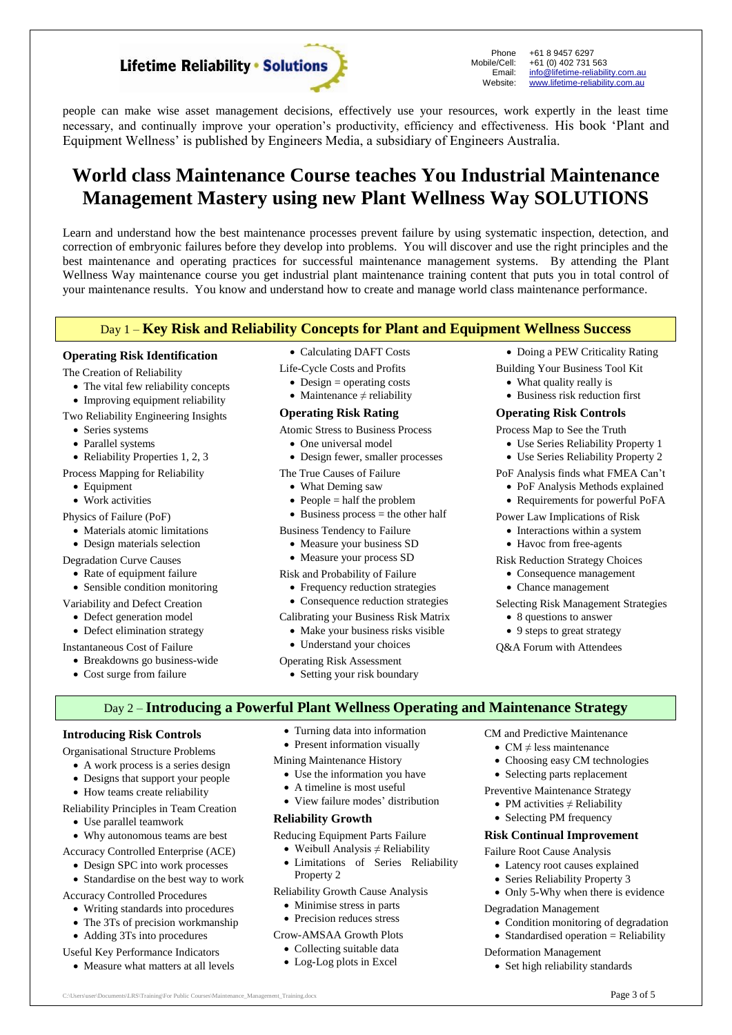**Lifetime Reliability • Solutions** 

Phone Mobile/Cell: Email: Website:

+61 8 9457 6297 +61 (0) 402 731 563 [info@lifetime-reliability.com.au](mailto:info@lifetime-reliability.com.au) [www.lifetime-reliability.com.au](http://www.lifetime-reliability.com.au/)

 Doing a PEW Criticality Rating Building Your Business Tool Kit What quality really is Business risk reduction first **Operating Risk Controls** Process Map to See the Truth

 Use Series Reliability Property 1 Use Series Reliability Property 2 PoF Analysis finds what FMEA Can't PoF Analysis Methods explained • Requirements for powerful PoFA Power Law Implications of Risk • Interactions within a system • Havoc from free-agents Risk Reduction Strategy Choices Consequence management Chance management

Selecting Risk Management Strategies

people can make wise asset management decisions, effectively use your resources, work expertly in the least time necessary, and continually improve your operation's productivity, efficiency and effectiveness. His book 'Plant and Equipment Wellness' is published by Engineers Media, a subsidiary of Engineers Australia.

## **World class Maintenance Course teaches You Industrial Maintenance Management Mastery using new Plant Wellness Way SOLUTIONS**

Learn and understand how the best maintenance processes prevent failure by using systematic inspection, detection, and correction of embryonic failures before they develop into problems. You will discover and use the right principles and the best maintenance and operating practices for successful maintenance management systems. By attending the Plant Wellness Way maintenance course you get industrial plant maintenance training content that puts you in total control of your maintenance results. You know and understand how to create and manage world class maintenance performance.

#### Day 1 – **Key Risk and Reliability Concepts for Plant and Equipment Wellness Success**

#### **Operating Risk Identification**

The Creation of Reliability

- The vital few reliability concepts
- Improving equipment reliability
- Two Reliability Engineering Insights
	- Series systems
	- Parallel systems
- Reliability Properties 1, 2, 3
- Process Mapping for Reliability
	- Equipment
	- Work activities
- Physics of Failure (PoF)
	- Materials atomic limitations
	- Design materials selection
- Degradation Curve Causes
- Rate of equipment failure
- Sensible condition monitoring
- Variability and Defect Creation
- Defect generation model
- Defect elimination strategy
- Instantaneous Cost of Failure

Cost surge from failure

Breakdowns go business-wide

- Calculating DAFT Costs Life-Cycle Costs and Profits
- $\bullet$  Design = operating costs
- Maintenance  $\neq$  reliability
- **Operating Risk Rating**
- Atomic Stress to Business Process
	- One universal model
	- Design fewer, smaller processes
- The True Causes of Failure
	- What Deming saw
	- $\bullet$  People = half the problem
	- $\bullet$  Business process = the other half
- Business Tendency to Failure
	- Measure your business SD
	- Measure your process SD
- Risk and Probability of Failure
	- Frequency reduction strategies
	- Consequence reduction strategies
- Calibrating your Business Risk Matrix
	- Make your business risks visible
	- Understand your choices
- Operating Risk Assessment
	- Setting your risk boundary

#### Day 2 – **Introducing a Powerful Plant Wellness Operating and Maintenance Strategy**

#### **Introducing Risk Controls**

- Organisational Structure Problems
	- A work process is a series design
	- Designs that support your people
	- How teams create reliability

#### Reliability Principles in Team Creation

- Use parallel teamwork
- Why autonomous teams are best
- Accuracy Controlled Enterprise (ACE)
	- Design SPC into work processes
	- Standardise on the best way to work
- Accuracy Controlled Procedures
	- Writing standards into procedures
	- The 3Ts of precision workmanship
	- Adding 3Ts into procedures
- Useful Key Performance Indicators
	- Measure what matters at all levels
- Turning data into information
- Present information visually
- Mining Maintenance History
	- Use the information you have
	- A timeline is most useful
	- View failure modes' distribution

#### **Reliability Growth**

- Reducing Equipment Parts Failure
	- Weibull Analysis  $\neq$  Reliability
	- Limitations of Series Reliability Property 2

Reliability Growth Cause Analysis

- Minimise stress in parts
- Precision reduces stress

Crow-AMSAA Growth Plots

- Collecting suitable data
- Log-Log plots in Excel

 $C:\Upsilon\to\Upsilon$  C:\Users\user\Documents\LRS\Training\For Public Courses\Maintenance\_Management\_Training.docx **Page 3 of 5** 

CM and Predictive Maintenance

• 8 questions to answer • 9 steps to great strategy Q&A Forum with Attendees

- CM  $\neq$  less maintenance
- Choosing easy CM technologies
- Selecting parts replacement

Preventive Maintenance Strategy

- PM activities  $\neq$  Reliability
- Selecting PM frequency

### **Risk Continual Improvement**

Failure Root Cause Analysis

- Latency root causes explained
- Series Reliability Property 3

• Set high reliability standards

• Only 5-Why when there is evidence

#### Degradation Management

Deformation Management

- Condition monitoring of degradation
- $\bullet$  Standardised operation = Reliability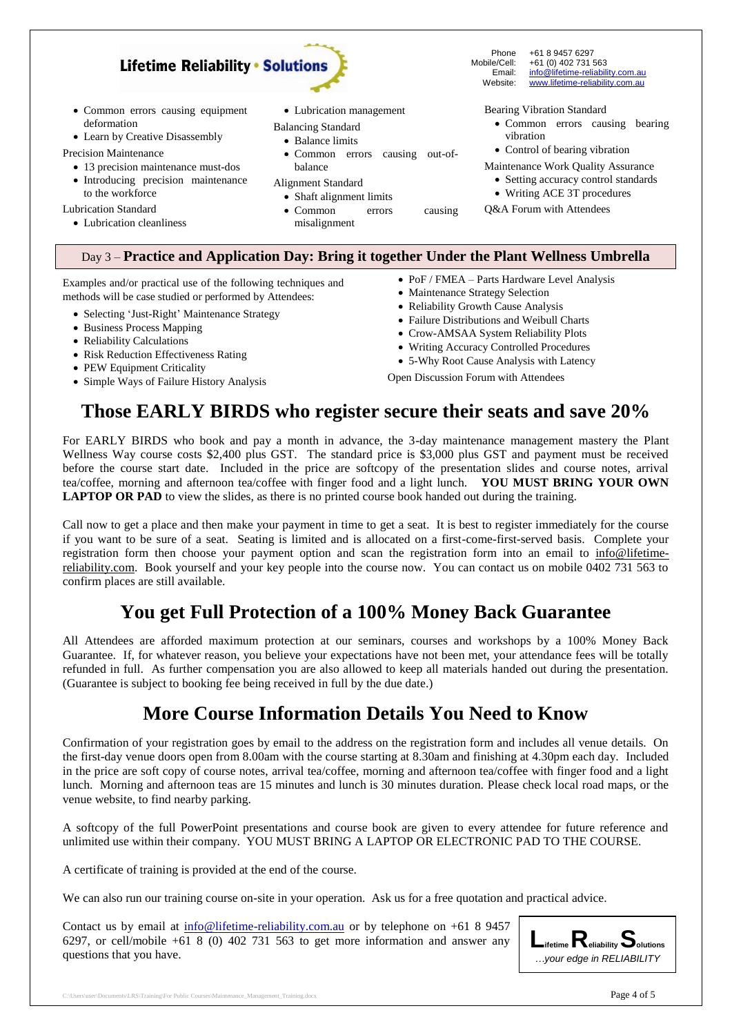

Learn by Creative Disassembly

Precision Maintenance

 13 precision maintenance must-dos Introducing precision maintenance to the workforce

Lubrication Standard

Lubrication cleanliness

#### Balancing Standard

- Balance limits
- Common errors causing out-ofbalance
- Alignment Standard
	- Shaft alignment limits
	- Common errors causing misalignment
- Common errors causing bearing vibration
- Control of bearing vibration
- Maintenance Work Quality Assurance
	- Setting accuracy control standards
- Writing ACE 3T procedures
- Q&A Forum with Attendees

#### Day 3 – **Practice and Application Day: Bring it together Under the Plant Wellness Umbrella**

Examples and/or practical use of the following techniques and methods will be case studied or performed by Attendees:

- Selecting 'Just-Right' Maintenance Strategy
- Business Process Mapping
- Reliability Calculations
- Risk Reduction Effectiveness Rating
- PEW Equipment Criticality
- Simple Ways of Failure History Analysis
- PoF / FMEA Parts Hardware Level Analysis
- Maintenance Strategy Selection
- Reliability Growth Cause Analysis
- Failure Distributions and Weibull Charts
- Crow-AMSAA System Reliability Plots
- Writing Accuracy Controlled Procedures
- 5-Why Root Cause Analysis with Latency

Open Discussion Forum with Attendees

### **Those EARLY BIRDS who register secure their seats and save 20%**

For EARLY BIRDS who book and pay a month in advance, the 3-day maintenance management mastery the Plant Wellness Way course costs \$2,400 plus GST. The standard price is \$3,000 plus GST and payment must be received before the course start date. Included in the price are softcopy of the presentation slides and course notes, arrival tea/coffee, morning and afternoon tea/coffee with finger food and a light lunch. **YOU MUST BRING YOUR OWN LAPTOP OR PAD** to view the slides, as there is no printed course book handed out during the training.

Call now to get a place and then make your payment in time to get a seat. It is best to register immediately for the course if you want to be sure of a seat. Seating is limited and is allocated on a first-come-first-served basis. Complete your registration form then choose your payment option and scan the registration form into an email to info@lifetimereliability.com. Book yourself and your key people into the course now. You can contact us on mobile 0402 731 563 to confirm places are still available.

### **You get Full Protection of a 100% Money Back Guarantee**

All Attendees are afforded maximum protection at our seminars, courses and workshops by a 100% Money Back Guarantee. If, for whatever reason, you believe your expectations have not been met, your attendance fees will be totally refunded in full. As further compensation you are also allowed to keep all materials handed out during the presentation. (Guarantee is subject to booking fee being received in full by the due date.)

### **More Course Information Details You Need to Know**

Confirmation of your registration goes by email to the address on the registration form and includes all venue details. On the first-day venue doors open from 8.00am with the course starting at 8.30am and finishing at 4.30pm each day. Included in the price are soft copy of course notes, arrival tea/coffee, morning and afternoon tea/coffee with finger food and a light lunch. Morning and afternoon teas are 15 minutes and lunch is 30 minutes duration. Please check local road maps, or the venue website, to find nearby parking.

A softcopy of the full PowerPoint presentations and course book are given to every attendee for future reference and unlimited use within their company. YOU MUST BRING A LAPTOP OR ELECTRONIC PAD TO THE COURSE.

A certificate of training is provided at the end of the course.

We can also run our training course on-site in your operation. Ask us for a free quotation and practical advice.

Contact us by email at [info@lifetime-reliability.com.au](mailto:info@lifetime-reliability.com.au) or by telephone on +61 8 9457 6297, or cell/mobile +61 8 (0) 402 731 563 to get more information and answer any questions that you have.